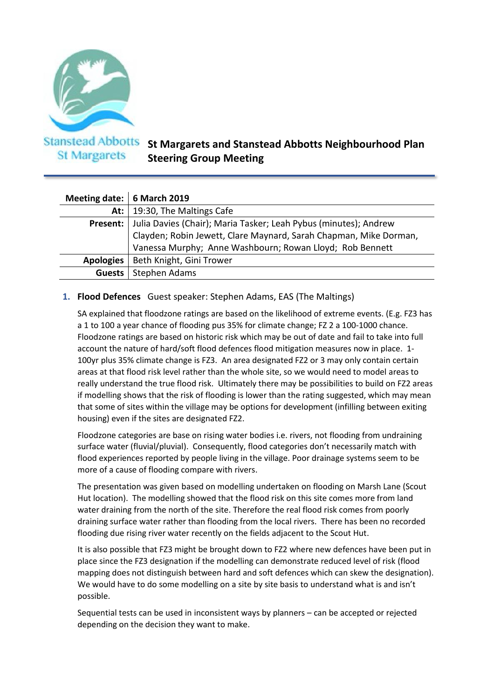

**St Margarets** 

# **St Margarets and Stanstead Abbotts Neighbourhood Plan Steering Group Meeting**

| Meeting date:   6 March 2019 |                                                                   |
|------------------------------|-------------------------------------------------------------------|
| At: $\vdash$                 | 19:30, The Maltings Cafe                                          |
| Present:                     | Julia Davies (Chair); Maria Tasker; Leah Pybus (minutes); Andrew  |
|                              | Clayden; Robin Jewett, Clare Maynard, Sarah Chapman, Mike Dorman, |
|                              | Vanessa Murphy; Anne Washbourn; Rowan Lloyd; Rob Bennett          |
| <b>Apologies</b>             | Beth Knight, Gini Trower                                          |
| Guests                       | Stephen Adams                                                     |

## **1. Flood Defences** Guest speaker: Stephen Adams, EAS (The Maltings)

SA explained that floodzone ratings are based on the likelihood of extreme events. (E.g. FZ3 has a 1 to 100 a year chance of flooding pus 35% for climate change; FZ 2 a 100-1000 chance. Floodzone ratings are based on historic risk which may be out of date and fail to take into full account the nature of hard/soft flood defences flood mitigation measures now in place. 1- 100yr plus 35% climate change is FZ3. An area designated FZ2 or 3 may only contain certain areas at that flood risk level rather than the whole site, so we would need to model areas to really understand the true flood risk. Ultimately there may be possibilities to build on FZ2 areas if modelling shows that the risk of flooding is lower than the rating suggested, which may mean that some of sites within the village may be options for development (infilling between exiting housing) even if the sites are designated FZ2.

Floodzone categories are base on rising water bodies i.e. rivers, not flooding from undraining surface water (fluvial/pluvial). Consequently, flood categories don't necessarily match with flood experiences reported by people living in the village. Poor drainage systems seem to be more of a cause of flooding compare with rivers.

The presentation was given based on modelling undertaken on flooding on Marsh Lane (Scout Hut location). The modelling showed that the flood risk on this site comes more from land water draining from the north of the site. Therefore the real flood risk comes from poorly draining surface water rather than flooding from the local rivers. There has been no recorded flooding due rising river water recently on the fields adjacent to the Scout Hut.

It is also possible that FZ3 might be brought down to FZ2 where new defences have been put in place since the FZ3 designation if the modelling can demonstrate reduced level of risk (flood mapping does not distinguish between hard and soft defences which can skew the designation). We would have to do some modelling on a site by site basis to understand what is and isn't possible.

Sequential tests can be used in inconsistent ways by planners – can be accepted or rejected depending on the decision they want to make.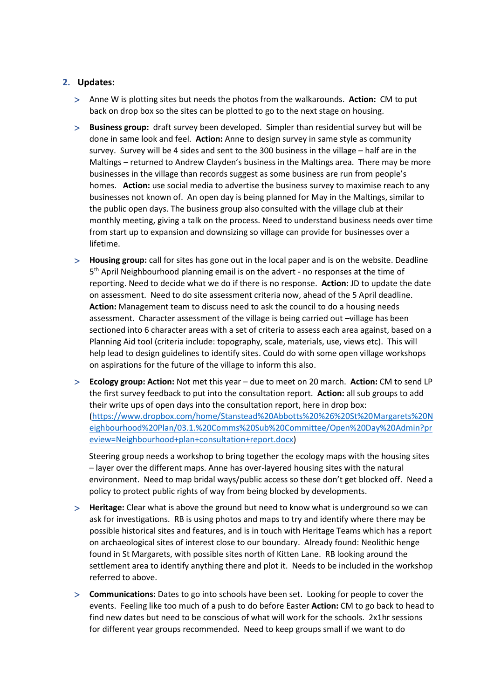#### **2. Updates:**

- Anne W is plotting sites but needs the photos from the walkarounds. **Action:** CM to put back on drop box so the sites can be plotted to go to the next stage on housing.
- **Business group:** draft survey been developed. Simpler than residential survey but will be done in same look and feel. **Action:** Anne to design survey in same style as community survey. Survey will be 4 sides and sent to the 300 business in the village – half are in the Maltings – returned to Andrew Clayden's business in the Maltings area. There may be more businesses in the village than records suggest as some business are run from people's homes. **Action:** use social media to advertise the business survey to maximise reach to any businesses not known of. An open day is being planned for May in the Maltings, similar to the public open days. The business group also consulted with the village club at their monthly meeting, giving a talk on the process. Need to understand business needs over time from start up to expansion and downsizing so village can provide for businesses over a lifetime.
- **Housing group:** call for sites has gone out in the local paper and is on the website. Deadline 5 th April Neighbourhood planning email is on the advert - no responses at the time of reporting. Need to decide what we do if there is no response. **Action:** JD to update the date on assessment. Need to do site assessment criteria now, ahead of the 5 April deadline. **Action:** Management team to discuss need to ask the council to do a housing needs assessment. Character assessment of the village is being carried out –village has been sectioned into 6 character areas with a set of criteria to assess each area against, based on a Planning Aid tool (criteria include: topography, scale, materials, use, views etc). This will help lead to design guidelines to identify sites. Could do with some open village workshops on aspirations for the future of the village to inform this also.
- **Ecology group: Action:** Not met this year due to meet on 20 march. **Action:** CM to send LP the first survey feedback to put into the consultation report. **Action:** all sub groups to add their write ups of open days into the consultation report, here in drop box: [\(https://www.dropbox.com/home/Stanstead%20Abbotts%20%26%20St%20Margarets%20N](https://www.dropbox.com/home/Stanstead%20Abbotts%20%26%20St%20Margarets%20Neighbourhood%20Plan/03.1.%20Comms%20Sub%20Committee/Open%20Day%20Admin?preview=Neighbourhood+plan+consultation+report.docx) [eighbourhood%20Plan/03.1.%20Comms%20Sub%20Committee/Open%20Day%20Admin?pr](https://www.dropbox.com/home/Stanstead%20Abbotts%20%26%20St%20Margarets%20Neighbourhood%20Plan/03.1.%20Comms%20Sub%20Committee/Open%20Day%20Admin?preview=Neighbourhood+plan+consultation+report.docx) [eview=Neighbourhood+plan+consultation+report.docx\)](https://www.dropbox.com/home/Stanstead%20Abbotts%20%26%20St%20Margarets%20Neighbourhood%20Plan/03.1.%20Comms%20Sub%20Committee/Open%20Day%20Admin?preview=Neighbourhood+plan+consultation+report.docx)

Steering group needs a workshop to bring together the ecology maps with the housing sites – layer over the different maps. Anne has over-layered housing sites with the natural environment. Need to map bridal ways/public access so these don't get blocked off. Need a policy to protect public rights of way from being blocked by developments.

- **Heritage:** Clear what is above the ground but need to know what is underground so we can ask for investigations. RB is using photos and maps to try and identify where there may be possible historical sites and features, and is in touch with Heritage Teams which has a report on archaeological sites of interest close to our boundary. Already found: Neolithic henge found in St Margarets, with possible sites north of Kitten Lane. RB looking around the settlement area to identify anything there and plot it. Needs to be included in the workshop referred to above.
- **Communications:** Dates to go into schools have been set. Looking for people to cover the events. Feeling like too much of a push to do before Easter **Action:** CM to go back to head to find new dates but need to be conscious of what will work for the schools. 2x1hr sessions for different year groups recommended. Need to keep groups small if we want to do